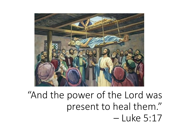

# "And the power of the Lord was present to heal them." – Luke 5:17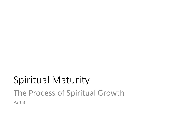# Spiritual Maturity The Process of Spiritual Growth Part 3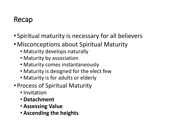### Recap

- Spiritual maturity is necessary for all believers
- •Misconceptions about Spiritual Maturity
	- Maturity develops naturally
	- Maturity by association
	- Maturity comes instantaneously
	- Maturity is designed for the elect few
	- Maturity is for adults or elderly
- Process of Spiritual Maturity
	- Invitation
	- **Detachment**
	- **Assessing Value**
	- **Ascending the heights**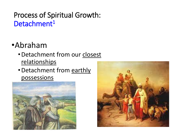### Process of Spiritual Growth: Detachment<sup>1</sup>

# •Abraham

- •Detachment from our closest relationships
- •Detachment from earthly possessions



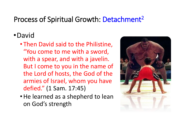### Process of Spiritual Growth: Detachment<sup>2</sup>

#### •David

- Then David said to the Philistine, "You come to me with a sword, with a spear, and with a javelin. But I come to you in the name of the Lord of hosts, the God of the armies of Israel, whom you have defied." (1 Sam. 17:45)
- •He learned as a shepherd to lean on God's strength

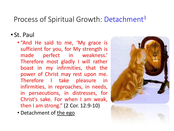#### Process of Spiritual Growth: Detachment<sup>3</sup>

#### • St. Paul

- "And He said to me, 'My grace is sufficient for you, for My strength is made perfect in weakness.' Therefore most gladly I will rather boast in my infirmities, that the power of Christ may rest upon me. Therefore I take pleasure in infirmities, in reproaches, in needs, in persecutions, in distresses, for Christ's sake. For when I am weak, then I am strong." (2 Cor. 12:9-10)
- Detachment of the ego

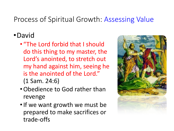### Process of Spiritual Growth: Assessing Value

### •David

- "The Lord forbid that I should do this thing to my master, the Lord's anointed, to stretch out my hand against him, seeing he is the anointed of the Lord." (1 Sam. 24:6)
- •Obedience to God rather than revenge
- •If we want growth we must be prepared to make sacrifices or trade-offs

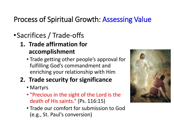## Process of Spiritual Growth: Assessing Value

# •Sacrifices / Trade-offs

#### **1. Trade affirmation for accomplishment**

• Trade getting other people's approval for fulfilling God's commandment and enriching your relationship with Him

#### **2. Trade security for significance**

- Martyrs
- "Precious in the sight of the Lord is the death of His saints." (Ps. 116:15)
- Trade our comfort for submission to God (e.g., St. Paul's conversion)

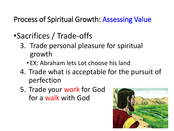Process of Spiritual Growth: Assessing Value

- •Sacrifices / Trade-offs
	- 3. Trade personal pleasure for spiritual growth
		- EX: Abraham lets Lot choose his land
	- 4. Trade what is acceptable for the pursuit of perfection
	- 5. Trade your work for God for a walk with God

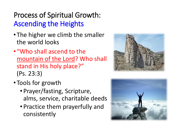# Process of Spiritual Growth: Ascending the Heights

- The higher we climb the smaller the world looks
- "Who shall ascend to the mountain of the Lord? Who shall stand in His holy place?" (Ps. 23:3)
- Tools for growth
	- Prayer/fasting, Scripture, alms, service, charitable deeds
	- Practice them prayerfully and consistently



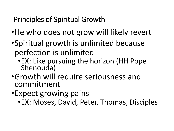# Principles of Spiritual Growth

- •He who does not grow will likely revert
- •Spiritual growth is unlimited because perfection is unlimited
	- •EX: Like pursuing the horizon (HH Pope Shenouda)
- •Growth will require seriousness and commitment
- •Expect growing pains
	- •EX: Moses, David, Peter, Thomas, Disciples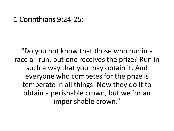#### 1 Corinthians 9:24-25:

"Do you not know that those who run in a race all run, but one receives the prize? Run in such a way that you may obtain it. And everyone who competes for the prize is temperate in all things. Now they do it to obtain a perishable crown, but we for an imperishable crown."